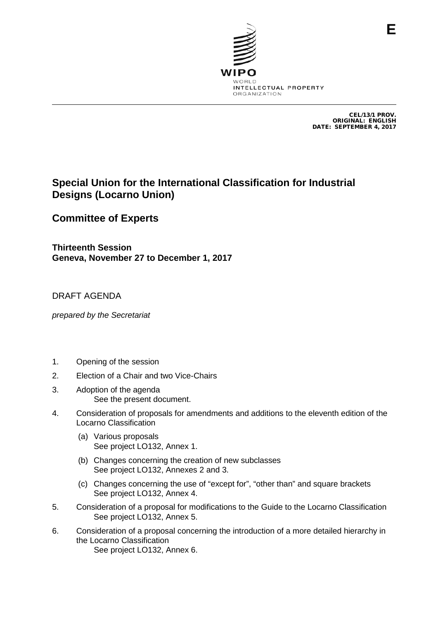

CEL/13/1 PROV. ORIGINAL: ENGLISH DATE: SEPTEMBER 4, 2017

## **Special Union for the International Classification for Industrial Designs (Locarno Union)**

## **Committee of Experts**

**Thirteenth Session Geneva, November 27 to December 1, 2017**

## DRAFT AGENDA

*prepared by the Secretariat*

- 1. Opening of the session
- 2. Election of a Chair and two Vice-Chairs
- 3. Adoption of the agenda See the present document.
- 4. Consideration of proposals for amendments and additions to the eleventh edition of the Locarno Classification
	- (a) Various proposals See project LO132, Annex 1.
	- (b) Changes concerning the creation of new subclasses See project LO132, Annexes 2 and 3.
	- (c) Changes concerning the use of "except for", "other than" and square brackets See project LO132, Annex 4.
- 5. Consideration of a proposal for modifications to the Guide to the Locarno Classification See project LO132, Annex 5.
- 6. Consideration of a proposal concerning the introduction of a more detailed hierarchy in the Locarno Classification See project LO132, Annex 6.

**E**